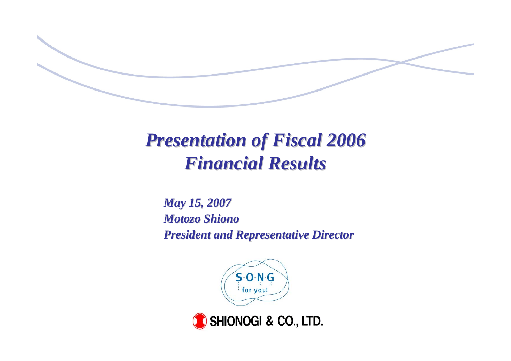

# *Presentation of Fiscal 2006 Presentation of Fiscal 2006 Financial Results Financial Results*

*May 15, 2007 May 15, 2007 Motozo Shiono Motozo Shiono* **President and Representative Director** 



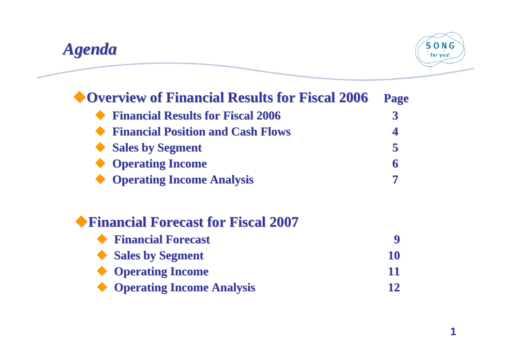

| Page |
|------|
|      |
|      |
|      |
| 6    |
|      |
|      |
| 9    |
| 10   |
| 11   |
| 12   |
|      |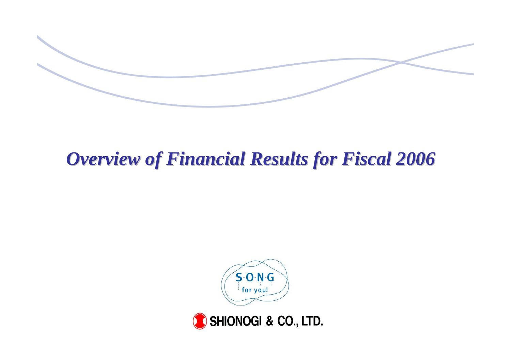

# *Overview of Financial Results for Fiscal 2006 Overview of Financial Results for Fiscal 2006*



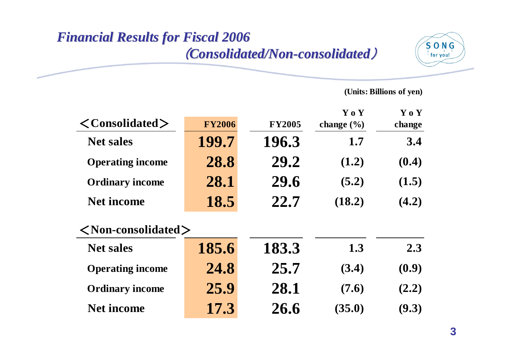## *Financial Results for Fiscal 2006 Financial Results for Fiscal 2006* (*Consolidated/Non Consolidated/Non -consolidated consolidated*)



|                                      |               |               | Y o Y          | Y o Y  |
|--------------------------------------|---------------|---------------|----------------|--------|
| $\langle$ Consolidated $\rangle$     | <b>FY2006</b> | <b>FY2005</b> | change $(\% )$ | change |
| <b>Net sales</b>                     | 199.7         | 196.3         | 1.7            | 3.4    |
| <b>Operating income</b>              | 28.8          | 29.2          | (1.2)          | (0.4)  |
| <b>Ordinary income</b>               | 28.1          | 29.6          | (5.2)          | (1.5)  |
| <b>Net income</b>                    | 18.5          | 22.7          | (18.2)         | (4.2)  |
| $\langle$ Non-consolidated $\rangle$ |               |               |                |        |
| <b>Net sales</b>                     | 185.6         | 183.3         | 1.3            | 2.3    |
| <b>Operating income</b>              | 24.8          | 25.7          | (3.4)          | (0.9)  |
| <b>Ordinary income</b>               | 25.9          | 28.1          | (7.6)          | (2.2)  |
| <b>Net income</b>                    | 17.3          | 26.6          | (35.0)         | (9.3)  |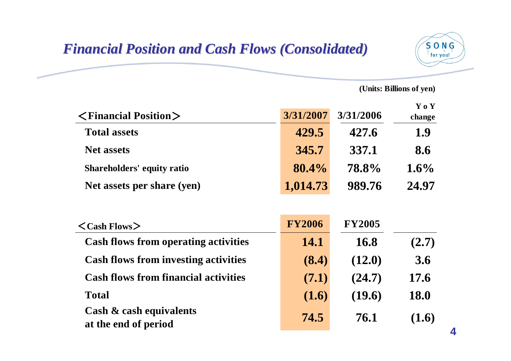### *Financial Position and Cash Flows (Consolidated) Financial Position and Cash Flows (Consolidated)*



| $\langle$ Financial Position $\rangle$                     | 3/31/2007     | 3/31/2006     | Y o Y<br>change |
|------------------------------------------------------------|---------------|---------------|-----------------|
| <b>Total assets</b>                                        | 429.5         | 427.6         | 1.9             |
| <b>Net assets</b>                                          | 345.7         | 337.1         | 8.6             |
| <b>Shareholders' equity ratio</b>                          | 80.4%         | 78.8%         | $1.6\%$         |
| Net assets per share (yen)                                 | 1,014.73      | 989.76        | 24.97           |
| $\langle$ Cash Flows $\rangle$                             | <b>FY2006</b> | <b>FY2005</b> |                 |
|                                                            | 14.1          | 16.8          |                 |
| <b>Cash flows from operating activities</b>                |               |               | (2.7)           |
| <b>Cash flows from investing activities</b>                | (8.4)         | (12.0)        | 3.6             |
| <b>Cash flows from financial activities</b>                | (7.1)         | (24.7)        | 17.6            |
| <b>Total</b>                                               | (1.6)         | (19.6)        | <b>18.0</b>     |
| <b>Cash &amp; cash equivalents</b><br>at the end of period | 74.5          | 76.1          | (1.6)           |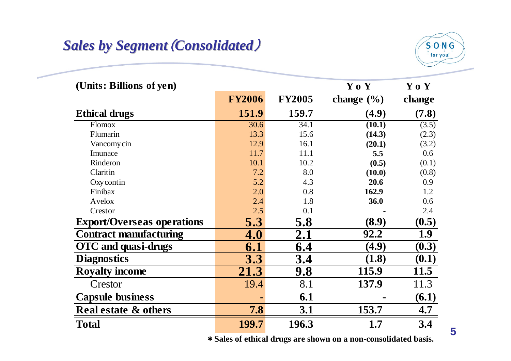## **Sales by Segment (Consolidated)**



| (Units: Billions of yen)          |                |               | Y o Y          | Y o Y  |
|-----------------------------------|----------------|---------------|----------------|--------|
|                                   | <b>FY2006</b>  | <b>FY2005</b> | change $(\% )$ | change |
| <b>Ethical drugs</b>              | 151.9          | 159.7         | (4.9)          | (7.8)  |
| Flomox                            | 30.6           | 34.1          | (10.1)         | (3.5)  |
| Flumarin                          | 13.3           | 15.6          | (14.3)         | (2.3)  |
| Vancomy cin                       | 12.9           | 16.1          | (20.1)         | (3.2)  |
| Imunace                           | 11.7           | 11.1          | 5.5            | 0.6    |
| Rinderon                          | 10.1           | 10.2          | (0.5)          | (0.1)  |
| Claritin                          | 7.2            | 8.0           | (10.0)         | (0.8)  |
| Oxycontin                         | 5.2            | 4.3           | 20.6           | 0.9    |
| Finibax                           | 2.0            | 0.8           | 162.9          | 1.2    |
| Avelox                            | 2.4            | 1.8           | 36.0           | 0.6    |
| Crestor                           | 2.5            | 0.1           |                | 2.4    |
| <b>Export/Overseas operations</b> | 5.3            | 5.8           | (8.9)          | (0.5)  |
| <b>Contract manufacturing</b>     | 4.0            | 2.1           | 92.2           | 1.9    |
| OTC and quasi-drugs               | 6.1            | 6.4           | (4.9)          | (0.3)  |
| <b>Diagnostics</b>                | 3.3            | 3.4           | (1.8)          | (0.1)  |
| <b>Royalty income</b>             | 21.3           | 9.8           | 115.9          | 11.5   |
| Crestor                           | 19.4           | 8.1           | 137.9          | 11.3   |
| <b>Capsule business</b>           | $\blacksquare$ | 6.1           |                | (6.1)  |
| <b>Real estate &amp; others</b>   | 7.8            | 3.1           | 153.7          | 4.7    |
| <b>Total</b>                      | 199.7          | 196.3         | 1.7            | 3.4    |

\***Sales of ethical drugs are shown on a non-consolidated basis.**

**<sup>5</sup>**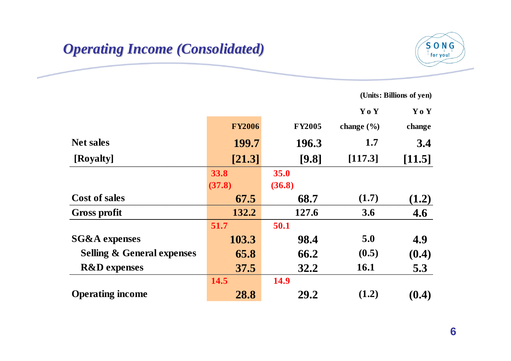### *Operating Operating Income (Consolidated) ncome (Consolidated)*



|                                       |               |               | Yo Y           | Yo Y   |
|---------------------------------------|---------------|---------------|----------------|--------|
|                                       | <b>FY2006</b> | <b>FY2005</b> | change $(\% )$ | change |
| <b>Net sales</b>                      | 199.7         | 196.3         | 1.7            | 3.4    |
| [Royalty]                             | [21.3]        | [9.8]         | [117.3]        | [11.5] |
|                                       | 33.8          | 35.0          |                |        |
|                                       | (37.8)        | (36.8)        |                |        |
| <b>Cost of sales</b>                  | 67.5          | 68.7          | (1.7)          | (1.2)  |
| <b>Gross profit</b>                   | 132.2         | 127.6         | 3.6            | 4.6    |
|                                       | 51.7          | 50.1          |                |        |
| <b>SG&amp;A</b> expenses              | 103.3         | 98.4          | 5.0            | 4.9    |
| <b>Selling &amp; General expenses</b> | 65.8          | 66.2          | (0.5)          | (0.4)  |
| <b>R&amp;D</b> expenses               | 37.5          | 32.2          | <b>16.1</b>    | 5.3    |
|                                       | 14.5          | <b>14.9</b>   |                |        |
| <b>Operating income</b>               | 28.8          | 29.2          | (1.2)          | (0.4)  |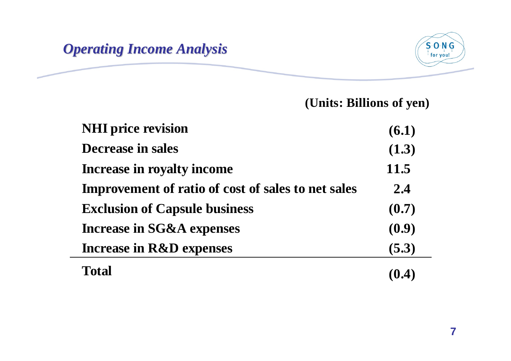### *Operating Income Analysis Operating Income Analysis*



| <b>NHI</b> price revision                                 | (6.1) |
|-----------------------------------------------------------|-------|
| Decrease in sales                                         | (1.3) |
| <b>Increase in royalty income</b>                         | 11.5  |
| <b>Improvement of ratio of cost of sales to net sales</b> | 2.4   |
| <b>Exclusion of Capsule business</b>                      | (0.7) |
| <b>Increase in SG&amp;A expenses</b>                      | (0.9) |
| <b>Increase in R&amp;D expenses</b>                       | (5.3) |
| Total                                                     | (0.4) |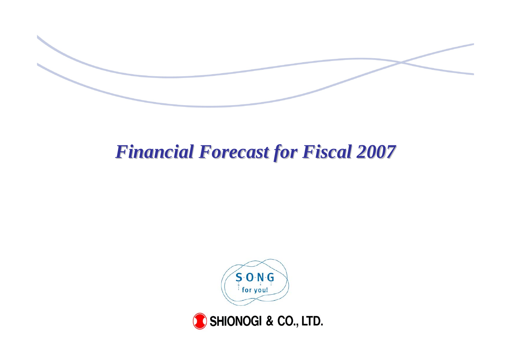

# *Financial Forecast for Fiscal 2007 Financial Forecast for Fiscal 2007*

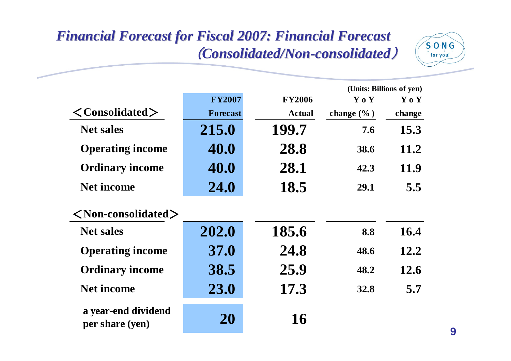## *Financial Forecast for Fiscal 2007: Financial Forecast Financial Forecast for Fiscal 2007: Financial Forecast*  (*Consolidated/Non Consolidated/Non -consolidated consolidated*)



|                                        |                 |               |                | (Units: Billions of yen) |
|----------------------------------------|-----------------|---------------|----------------|--------------------------|
|                                        | <b>FY2007</b>   | <b>FY2006</b> | Y o Y          | Y o Y                    |
| $\langle$ Consolidated $\rangle$       | <b>Forecast</b> | <b>Actual</b> | change $(\% )$ | change                   |
| <b>Net sales</b>                       | 215.0           | 199.7         | 7.6            | 15.3                     |
| <b>Operating income</b>                | 40.0            | 28.8          | 38.6           | 11.2                     |
| <b>Ordinary income</b>                 | 40.0            | 28.1          | 42.3           | 11.9                     |
| <b>Net income</b>                      | 24.0            | 18.5          | 29.1           | 5.5                      |
| $\langle$ Non-consolidated $\rangle$   |                 |               |                |                          |
| <b>Net sales</b>                       | 202.0           | 185.6         | 8.8            | 16.4                     |
| <b>Operating income</b>                | <b>37.0</b>     | 24.8          | 48.6           | 12.2                     |
| <b>Ordinary income</b>                 | 38.5            | 25.9          | 48.2           | 12.6                     |
| <b>Net income</b>                      | 23.0            | 17.3          | <b>32.8</b>    | 5.7                      |
| a year-end dividend<br>per share (yen) | 20              | 16            |                |                          |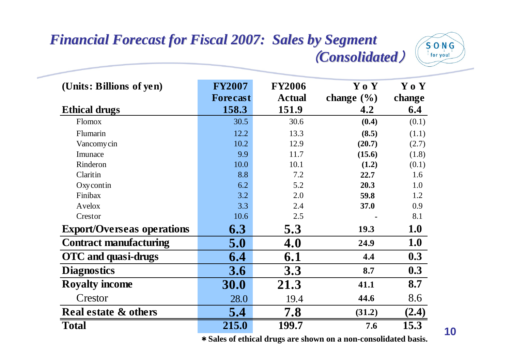### *Financial Forecast for Fiscal 2007: Sales by Segment Financial Forecast for Fiscal 2007: Sales by Segment* (*Consolidated Consolidated*)



| (Units: Billions of yen)          | <b>FY2007</b>   | <b>FY2006</b> | Y o Y          | Y o Y  |
|-----------------------------------|-----------------|---------------|----------------|--------|
|                                   | <b>Forecast</b> | <b>Actual</b> | change $(\% )$ | change |
| <b>Ethical drugs</b>              | 158.3           | 151.9         | 4.2            | 6.4    |
| <b>Flomox</b>                     | 30.5            | 30.6          | (0.4)          | (0.1)  |
| Flumarin                          | 12.2            | 13.3          | (8.5)          | (1.1)  |
| Vancomy cin                       | 10.2            | 12.9          | (20.7)         | (2.7)  |
| Imunace                           | 9.9             | 11.7          | (15.6)         | (1.8)  |
| Rinderon                          | 10.0            | 10.1          | (1.2)          | (0.1)  |
| Claritin                          | 8.8             | 7.2           | 22.7           | 1.6    |
| Oxycontin                         | 6.2             | 5.2           | 20.3           | 1.0    |
| Finibax                           | 3.2             | 2.0           | 59.8           | 1.2    |
| Avelox                            | 3.3             | 2.4           | 37.0           | 0.9    |
| Crestor                           | 10.6            | 2.5           |                | 8.1    |
| <b>Export/Overseas operations</b> | 6.3             | 5.3           | 19.3           | 1.0    |
| <b>Contract manufacturing</b>     | 5.0             | 4.0           | 24.9           | 1.0    |
| OTC and quasi-drugs               | 6.4             | 6.1           | 4.4            | 0.3    |
| <b>Diagnostics</b>                | 3.6             | 3.3           | 8.7            | 0.3    |
| <b>Royalty income</b>             | 30.0            | 21.3          | 41.1           | 8.7    |
| Crestor                           | 28.0            | 19.4          | 44.6           | 8.6    |
| <b>Real estate &amp; others</b>   | 5.4             | 7.8           | (31.2)         | (2.4)  |
| <b>Total</b>                      | 215.0           | 199.7         | 7.6            | 15.3   |

\***Sales of ethical drugs are shown on a non-consolidated basis.**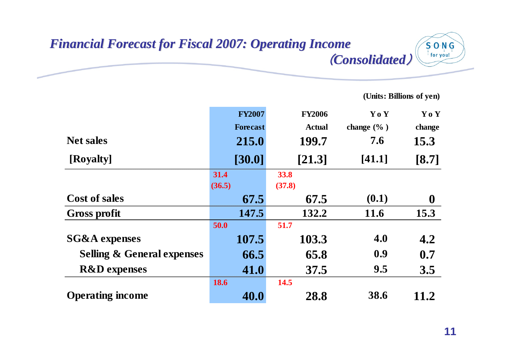### *Financial Forecast for Fiscal 2007: Operating Financial Forecast for Fiscal 2007: Operating Income* (*Consolidated Consolidated*)

**(Units: Billions of yen)**

 $S$  O N G for you!

|                                       | <b>FY2007</b>   | <b>FY2006</b> | Y o Y          | Yo Y             |
|---------------------------------------|-----------------|---------------|----------------|------------------|
|                                       | <b>Forecast</b> | <b>Actual</b> | change $(\%$ ) | change           |
| <b>Net sales</b>                      | 215.0           | 199.7         | 7.6            | 15.3             |
| [Royalty]                             | [30.0]          | [21.3]        | [41.1]         | $[8.7]$          |
|                                       | 31.4            | 33.8          |                |                  |
|                                       | (36.5)          | (37.8)        |                |                  |
| <b>Cost of sales</b>                  | 67.5            | 67.5          | (0.1)          | $\boldsymbol{0}$ |
| <b>Gross profit</b>                   | 147.5           | 132.2         | 11.6           | 15.3             |
|                                       | 50.0            | 51.7          |                |                  |
| <b>SG&amp;A</b> expenses              | 107.5           | 103.3         | 4.0            | 4.2              |
| <b>Selling &amp; General expenses</b> | 66.5            | 65.8          | 0.9            | 0.7              |
| <b>R&amp;D</b> expenses               | 41.0            | 37.5          | 9.5            | 3.5              |
|                                       | 18.6            | 14.5          |                |                  |
| <b>Operating income</b>               | 40.0            | 28.8          | 38.6           | 11.2             |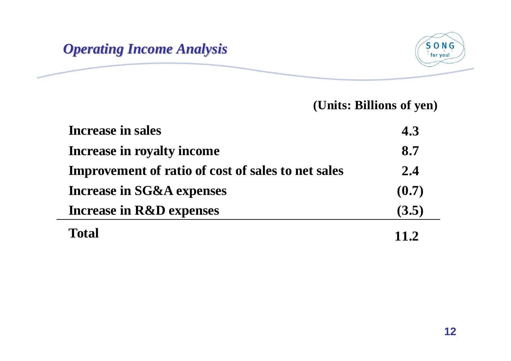



| <b>Increase in sales</b>                                  | 4.3         |
|-----------------------------------------------------------|-------------|
| Increase in royalty income                                | 8.7         |
| <b>Improvement of ratio of cost of sales to net sales</b> | 2.4         |
| <b>Increase in SG&amp;A expenses</b>                      | (0.7)       |
| <b>Increase in R&amp;D expenses</b>                       | (3.5)       |
| <b>Total</b>                                              | <b>11.2</b> |